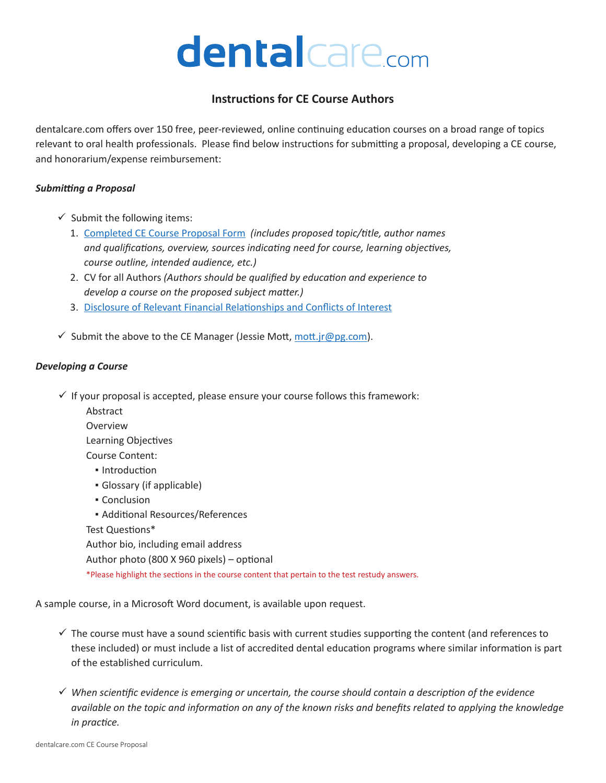# dental care.com

# **Instructions for CE Course Authors**

dentalcare.com offers over 150 free, peer-reviewed, online continuing education courses on a broad range of topics relevant to oral health professionals. Please find below instructions for submitting a proposal, developing a CE course, and honorarium/expense reimbursement:

#### *Submitting a Proposal*

- $\checkmark$  Submit the following items:
	- 1. [Completed CE Course Proposal Form](https://assets.ctfassets.net/u2qv1tdtdbbu/3uqyKR2rbOrE3HTBWMTbj/41b96e2477e008c938b7aaec5f4673c6/CE-Course-Proposal-form.pdf) *(includes proposed topic/title, author names and qualifications, overview, sources indicating need for course, learning objectives, course outline, intended audience, etc.)*
	- 2. CV for all Authors *(Authors should be qualified by education and experience to develop a course on the proposed subject matter.)*
	- 3. [Disclosure of Relevant Financial Relationships and Conflicts of Interest](https://assets.ctfassets.net/u2qv1tdtdbbu/4Y4hkTTv1VSUelLeyHWv5K/705b0ba3f52b265fec6edcc16c517bce/CE-Conflict-of-Interest-form.pdf)
- $\checkmark$  Submit the above to the CE Manager (Jessie Mott, mott.j[r@pg.com](mailto:mott.jr%40pg.com?subject=CE%20Proposal%20Submission)).

#### *Developing a Course*

- $\checkmark$  If your proposal is accepted, please ensure your course follows this framework:
	- Abstract
	- Overview

Learning Objectives

- Course Content:
	- **· Introduction**
	- Glossary (if applicable)
	- Conclusion

**E** Additional Resources/References Test Questions\* Author bio, including email address Author photo (800 X 960 pixels) – optional

\*Please highlight the sections in the course content that pertain to the test restudy answers.

A sample course, in a Microsoft Word document, is available upon request.

- $\checkmark$  The course must have a sound scientific basis with current studies supporting the content (and references to these included) or must include a list of accredited dental education programs where similar information is part of the established curriculum.
- *When scientific evidence is emerging or uncertain, the course should contain a description of the evidence available on the topic and information on any of the known risks and benefits related to applying the knowledge in practice.*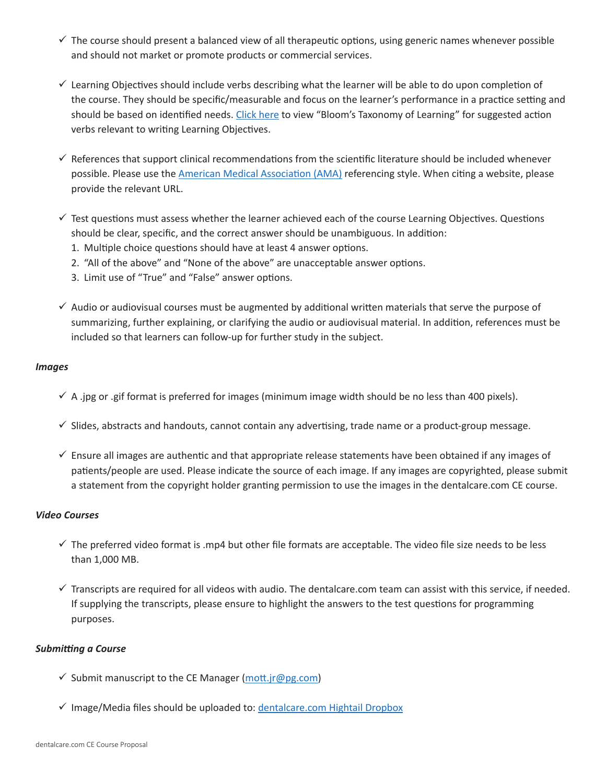- $\checkmark$  The course should present a balanced view of all therapeutic options, using generic names whenever possible and should not market or promote products or commercial services.
- $\checkmark$  Learning Objectives should include verbs describing what the learner will be able to do upon completion of the course. They should be specific/measurable and focus on the learner's performance in a practice setting and should be based on identified needs. [Click here](https://www.dentalcare.com/en-us/professional-education/ce-courses/ce398/writing-course-objectives) to view "Bloom's Taxonomy of Learning" for suggested action verbs relevant to writing Learning Objectives.
- $\checkmark$  References that support clinical recommendations from the scientific literature should be included whenever possible. Please use the [American Medical Association \(AMA\)](https://library.tamu.edu/help/help-yourself/citing-sources/files/Using-the-AMA-Style.pdf) referencing style. When citing a website, please provide the relevant URL.
- $\checkmark$  Test questions must assess whether the learner achieved each of the course Learning Objectives. Questions should be clear, specific, and the correct answer should be unambiguous. In addition:
	- 1. Multiple choice questions should have at least 4 answer options.
	- 2. "All of the above" and "None of the above" are unacceptable answer options.
	- 3. Limit use of "True" and "False" answer options.
- $\checkmark$  Audio or audiovisual courses must be augmented by additional written materials that serve the purpose of summarizing, further explaining, or clarifying the audio or audiovisual material. In addition, references must be included so that learners can follow-up for further study in the subject.

#### *Images*

- $\checkmark$  A .jpg or .gif format is preferred for images (minimum image width should be no less than 400 pixels).
- $\checkmark$  Slides, abstracts and handouts, cannot contain any advertising, trade name or a product-group message.
- $\checkmark$  Ensure all images are authentic and that appropriate release statements have been obtained if any images of patients/people are used. Please indicate the source of each image. If any images are copyrighted, please submit a statement from the copyright holder granting permission to use the images in the dentalcare.com CE course.

## *Video Courses*

- $\checkmark$  The preferred video format is .mp4 but other file formats are acceptable. The video file size needs to be less than 1,000 MB.
- $\checkmark$  Transcripts are required for all videos with audio. The dentalcare.com team can assist with this service, if needed. If supplying the transcripts, please ensure to highlight the answers to the test questions for programming purposes.

## *Submitting a Course*

- Submit manuscript to the CE Manager (mott.jr[@pg.com](mailto:mott.jr%40pg.com?subject=CE%20Course%20Submission))
- $\checkmark$  Image/Media files should be uploaded to: [dentalcare.com Hightail Dropbox](https://www.hightail.com/u/pgdental)